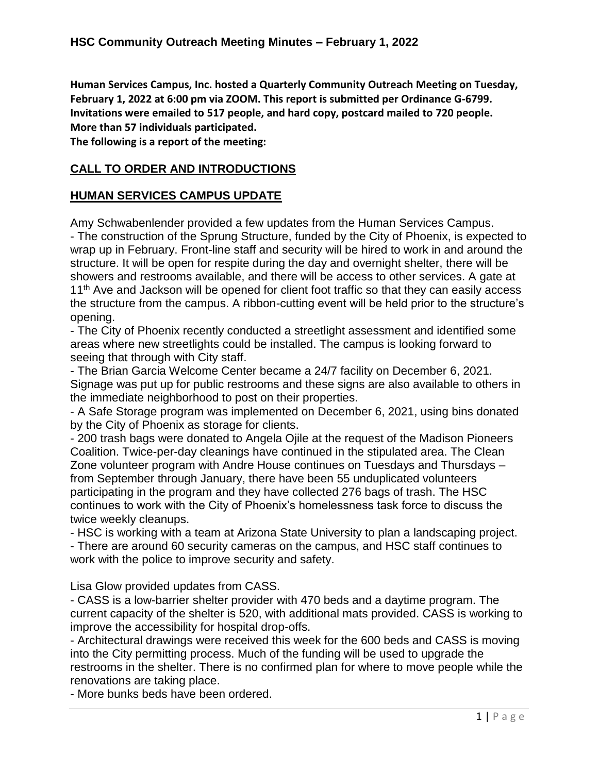**Human Services Campus, Inc. hosted a Quarterly Community Outreach Meeting on Tuesday, February 1, 2022 at 6:00 pm via ZOOM. This report is submitted per Ordinance G-6799. Invitations were emailed to 517 people, and hard copy, postcard mailed to 720 people. More than 57 individuals participated.**

**The following is a report of the meeting:**

# **CALL TO ORDER AND INTRODUCTIONS**

### **HUMAN SERVICES CAMPUS UPDATE**

Amy Schwabenlender provided a few updates from the Human Services Campus. - The construction of the Sprung Structure, funded by the City of Phoenix, is expected to wrap up in February. Front-line staff and security will be hired to work in and around the structure. It will be open for respite during the day and overnight shelter, there will be showers and restrooms available, and there will be access to other services. A gate at 11<sup>th</sup> Ave and Jackson will be opened for client foot traffic so that they can easily access the structure from the campus. A ribbon-cutting event will be held prior to the structure's opening.

- The City of Phoenix recently conducted a streetlight assessment and identified some areas where new streetlights could be installed. The campus is looking forward to seeing that through with City staff.

- The Brian Garcia Welcome Center became a 24/7 facility on December 6, 2021. Signage was put up for public restrooms and these signs are also available to others in the immediate neighborhood to post on their properties.

- A Safe Storage program was implemented on December 6, 2021, using bins donated by the City of Phoenix as storage for clients.

- 200 trash bags were donated to Angela Ojile at the request of the Madison Pioneers Coalition. Twice-per-day cleanings have continued in the stipulated area. The Clean Zone volunteer program with Andre House continues on Tuesdays and Thursdays – from September through January, there have been 55 unduplicated volunteers participating in the program and they have collected 276 bags of trash. The HSC continues to work with the City of Phoenix's homelessness task force to discuss the twice weekly cleanups.

- HSC is working with a team at Arizona State University to plan a landscaping project. - There are around 60 security cameras on the campus, and HSC staff continues to work with the police to improve security and safety.

Lisa Glow provided updates from CASS.

- CASS is a low-barrier shelter provider with 470 beds and a daytime program. The current capacity of the shelter is 520, with additional mats provided. CASS is working to improve the accessibility for hospital drop-offs.

- Architectural drawings were received this week for the 600 beds and CASS is moving into the City permitting process. Much of the funding will be used to upgrade the restrooms in the shelter. There is no confirmed plan for where to move people while the renovations are taking place.

- More bunks beds have been ordered.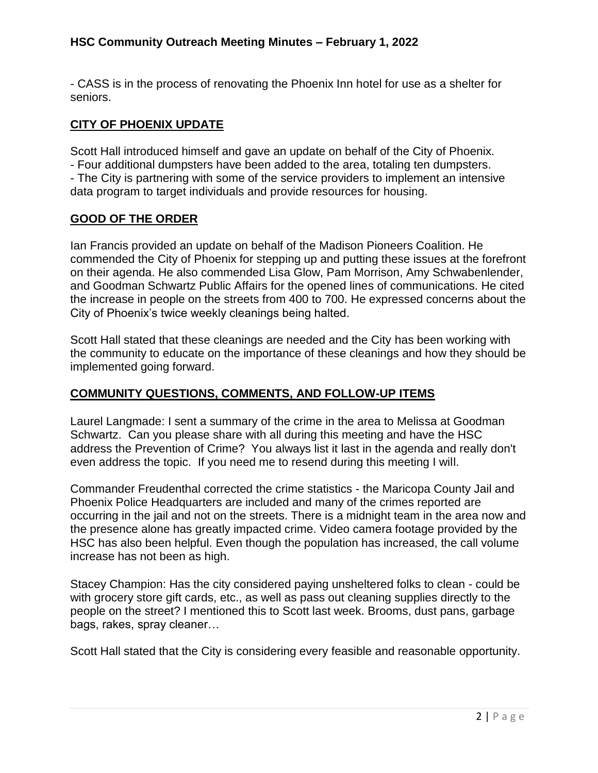### **HSC Community Outreach Meeting Minutes – February 1, 2022**

- CASS is in the process of renovating the Phoenix Inn hotel for use as a shelter for seniors.

### **CITY OF PHOENIX UPDATE**

Scott Hall introduced himself and gave an update on behalf of the City of Phoenix. - Four additional dumpsters have been added to the area, totaling ten dumpsters. - The City is partnering with some of the service providers to implement an intensive data program to target individuals and provide resources for housing.

#### **GOOD OF THE ORDER**

Ian Francis provided an update on behalf of the Madison Pioneers Coalition. He commended the City of Phoenix for stepping up and putting these issues at the forefront on their agenda. He also commended Lisa Glow, Pam Morrison, Amy Schwabenlender, and Goodman Schwartz Public Affairs for the opened lines of communications. He cited the increase in people on the streets from 400 to 700. He expressed concerns about the City of Phoenix's twice weekly cleanings being halted.

Scott Hall stated that these cleanings are needed and the City has been working with the community to educate on the importance of these cleanings and how they should be implemented going forward.

## **COMMUNITY QUESTIONS, COMMENTS, AND FOLLOW-UP ITEMS**

Laurel Langmade: I sent a summary of the crime in the area to Melissa at Goodman Schwartz. Can you please share with all during this meeting and have the HSC address the Prevention of Crime? You always list it last in the agenda and really don't even address the topic. If you need me to resend during this meeting I will.

Commander Freudenthal corrected the crime statistics - the Maricopa County Jail and Phoenix Police Headquarters are included and many of the crimes reported are occurring in the jail and not on the streets. There is a midnight team in the area now and the presence alone has greatly impacted crime. Video camera footage provided by the HSC has also been helpful. Even though the population has increased, the call volume increase has not been as high.

Stacey Champion: Has the city considered paying unsheltered folks to clean - could be with grocery store gift cards, etc., as well as pass out cleaning supplies directly to the people on the street? I mentioned this to Scott last week. Brooms, dust pans, garbage bags, rakes, spray cleaner…

Scott Hall stated that the City is considering every feasible and reasonable opportunity.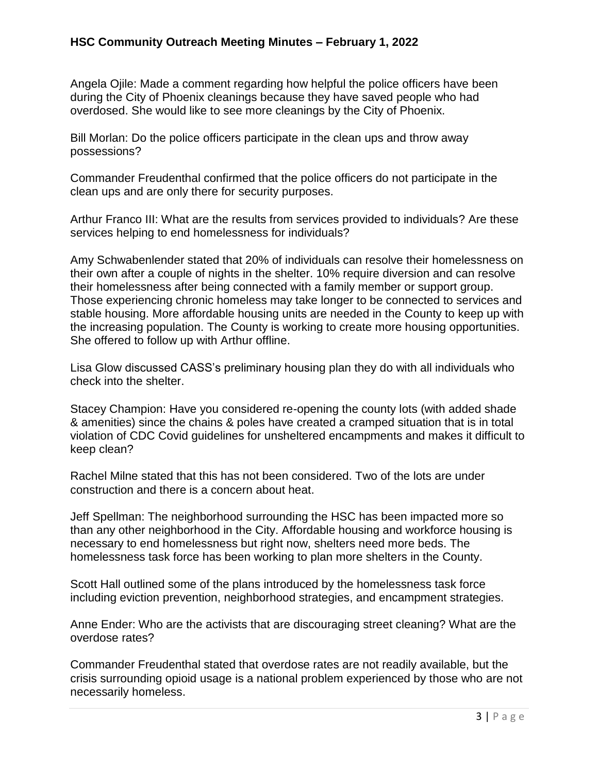### **HSC Community Outreach Meeting Minutes – February 1, 2022**

Angela Ojile: Made a comment regarding how helpful the police officers have been during the City of Phoenix cleanings because they have saved people who had overdosed. She would like to see more cleanings by the City of Phoenix.

Bill Morlan: Do the police officers participate in the clean ups and throw away possessions?

Commander Freudenthal confirmed that the police officers do not participate in the clean ups and are only there for security purposes.

Arthur Franco III: What are the results from services provided to individuals? Are these services helping to end homelessness for individuals?

Amy Schwabenlender stated that 20% of individuals can resolve their homelessness on their own after a couple of nights in the shelter. 10% require diversion and can resolve their homelessness after being connected with a family member or support group. Those experiencing chronic homeless may take longer to be connected to services and stable housing. More affordable housing units are needed in the County to keep up with the increasing population. The County is working to create more housing opportunities. She offered to follow up with Arthur offline.

Lisa Glow discussed CASS's preliminary housing plan they do with all individuals who check into the shelter.

Stacey Champion: Have you considered re-opening the county lots (with added shade & amenities) since the chains & poles have created a cramped situation that is in total violation of CDC Covid guidelines for unsheltered encampments and makes it difficult to keep clean?

Rachel Milne stated that this has not been considered. Two of the lots are under construction and there is a concern about heat.

Jeff Spellman: The neighborhood surrounding the HSC has been impacted more so than any other neighborhood in the City. Affordable housing and workforce housing is necessary to end homelessness but right now, shelters need more beds. The homelessness task force has been working to plan more shelters in the County.

Scott Hall outlined some of the plans introduced by the homelessness task force including eviction prevention, neighborhood strategies, and encampment strategies.

Anne Ender: Who are the activists that are discouraging street cleaning? What are the overdose rates?

Commander Freudenthal stated that overdose rates are not readily available, but the crisis surrounding opioid usage is a national problem experienced by those who are not necessarily homeless.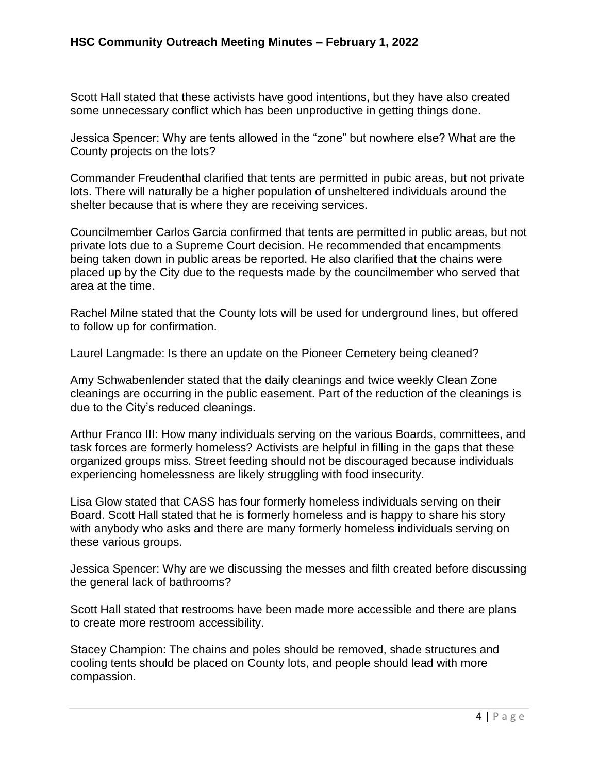Scott Hall stated that these activists have good intentions, but they have also created some unnecessary conflict which has been unproductive in getting things done.

Jessica Spencer: Why are tents allowed in the "zone" but nowhere else? What are the County projects on the lots?

Commander Freudenthal clarified that tents are permitted in pubic areas, but not private lots. There will naturally be a higher population of unsheltered individuals around the shelter because that is where they are receiving services.

Councilmember Carlos Garcia confirmed that tents are permitted in public areas, but not private lots due to a Supreme Court decision. He recommended that encampments being taken down in public areas be reported. He also clarified that the chains were placed up by the City due to the requests made by the councilmember who served that area at the time.

Rachel Milne stated that the County lots will be used for underground lines, but offered to follow up for confirmation.

Laurel Langmade: Is there an update on the Pioneer Cemetery being cleaned?

Amy Schwabenlender stated that the daily cleanings and twice weekly Clean Zone cleanings are occurring in the public easement. Part of the reduction of the cleanings is due to the City's reduced cleanings.

Arthur Franco III: How many individuals serving on the various Boards, committees, and task forces are formerly homeless? Activists are helpful in filling in the gaps that these organized groups miss. Street feeding should not be discouraged because individuals experiencing homelessness are likely struggling with food insecurity.

Lisa Glow stated that CASS has four formerly homeless individuals serving on their Board. Scott Hall stated that he is formerly homeless and is happy to share his story with anybody who asks and there are many formerly homeless individuals serving on these various groups.

Jessica Spencer: Why are we discussing the messes and filth created before discussing the general lack of bathrooms?

Scott Hall stated that restrooms have been made more accessible and there are plans to create more restroom accessibility.

Stacey Champion: The chains and poles should be removed, shade structures and cooling tents should be placed on County lots, and people should lead with more compassion.